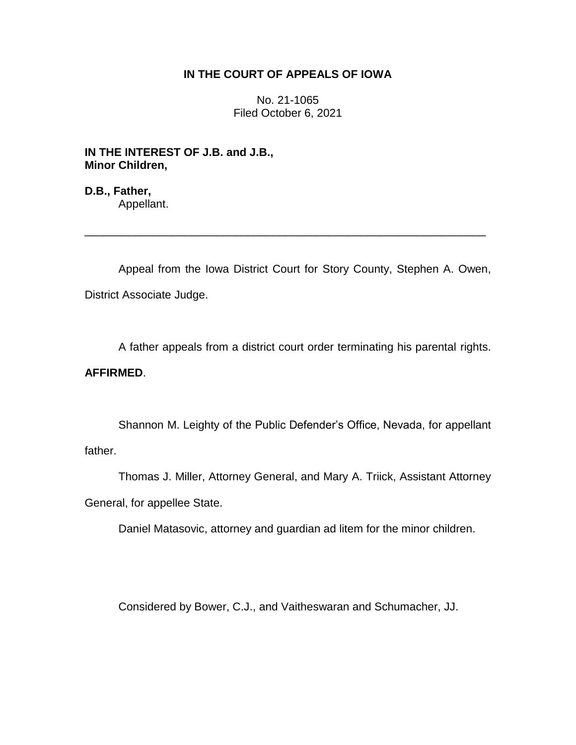## **IN THE COURT OF APPEALS OF IOWA**

No. 21-1065 Filed October 6, 2021

**IN THE INTEREST OF J.B. and J.B., Minor Children,**

**D.B., Father,** Appellant.

Appeal from the Iowa District Court for Story County, Stephen A. Owen, District Associate Judge.

\_\_\_\_\_\_\_\_\_\_\_\_\_\_\_\_\_\_\_\_\_\_\_\_\_\_\_\_\_\_\_\_\_\_\_\_\_\_\_\_\_\_\_\_\_\_\_\_\_\_\_\_\_\_\_\_\_\_\_\_\_\_\_\_

A father appeals from a district court order terminating his parental rights.

# **AFFIRMED**.

Shannon M. Leighty of the Public Defender's Office, Nevada, for appellant father.

Thomas J. Miller, Attorney General, and Mary A. Triick, Assistant Attorney General, for appellee State.

Daniel Matasovic, attorney and guardian ad litem for the minor children.

Considered by Bower, C.J., and Vaitheswaran and Schumacher, JJ.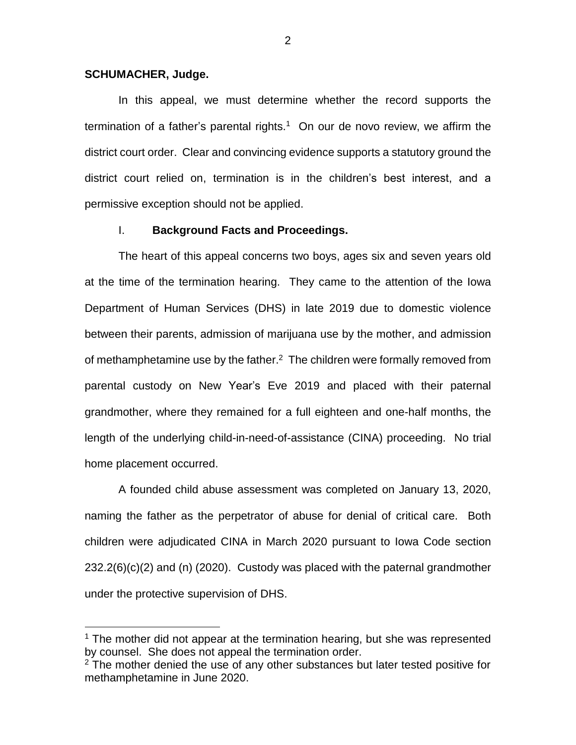#### **SCHUMACHER, Judge.**

 $\overline{a}$ 

In this appeal, we must determine whether the record supports the termination of a father's parental rights.<sup>1</sup> On our de novo review, we affirm the district court order. Clear and convincing evidence supports a statutory ground the district court relied on, termination is in the children's best interest, and a permissive exception should not be applied.

## I. **Background Facts and Proceedings.**

The heart of this appeal concerns two boys, ages six and seven years old at the time of the termination hearing. They came to the attention of the Iowa Department of Human Services (DHS) in late 2019 due to domestic violence between their parents, admission of marijuana use by the mother, and admission of methamphetamine use by the father.<sup>2</sup> The children were formally removed from parental custody on New Year's Eve 2019 and placed with their paternal grandmother, where they remained for a full eighteen and one-half months, the length of the underlying child-in-need-of-assistance (CINA) proceeding. No trial home placement occurred.

A founded child abuse assessment was completed on January 13, 2020, naming the father as the perpetrator of abuse for denial of critical care. Both children were adjudicated CINA in March 2020 pursuant to Iowa Code section 232.2(6)(c)(2) and (n) (2020). Custody was placed with the paternal grandmother under the protective supervision of DHS.

 $1$  The mother did not appear at the termination hearing, but she was represented by counsel. She does not appeal the termination order.

 $2$  The mother denied the use of any other substances but later tested positive for methamphetamine in June 2020.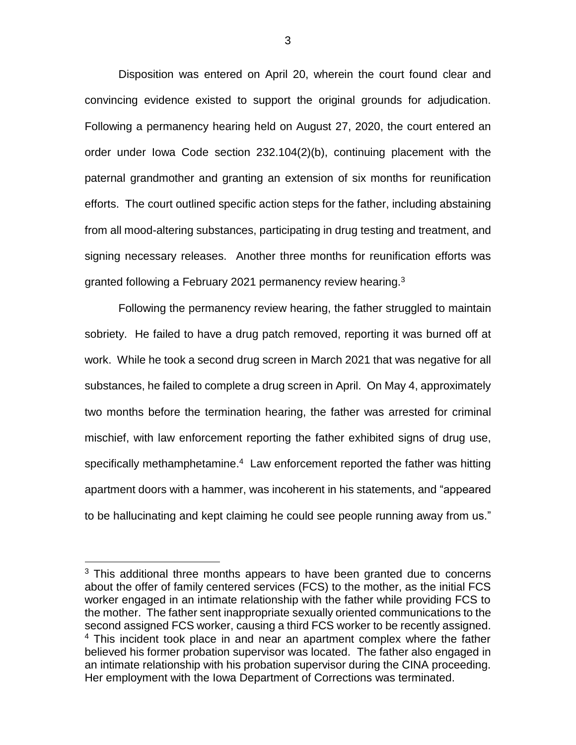Disposition was entered on April 20, wherein the court found clear and convincing evidence existed to support the original grounds for adjudication. Following a permanency hearing held on August 27, 2020, the court entered an order under Iowa Code section 232.104(2)(b), continuing placement with the paternal grandmother and granting an extension of six months for reunification efforts. The court outlined specific action steps for the father, including abstaining from all mood-altering substances, participating in drug testing and treatment, and signing necessary releases. Another three months for reunification efforts was granted following a February 2021 permanency review hearing.<sup>3</sup>

Following the permanency review hearing, the father struggled to maintain sobriety. He failed to have a drug patch removed, reporting it was burned off at work. While he took a second drug screen in March 2021 that was negative for all substances, he failed to complete a drug screen in April. On May 4, approximately two months before the termination hearing, the father was arrested for criminal mischief, with law enforcement reporting the father exhibited signs of drug use, specifically methamphetamine.<sup>4</sup> Law enforcement reported the father was hitting apartment doors with a hammer, was incoherent in his statements, and "appeared to be hallucinating and kept claiming he could see people running away from us."

 $\overline{a}$ 

 $3$  This additional three months appears to have been granted due to concerns about the offer of family centered services (FCS) to the mother, as the initial FCS worker engaged in an intimate relationship with the father while providing FCS to the mother. The father sent inappropriate sexually oriented communications to the second assigned FCS worker, causing a third FCS worker to be recently assigned. <sup>4</sup> This incident took place in and near an apartment complex where the father believed his former probation supervisor was located. The father also engaged in an intimate relationship with his probation supervisor during the CINA proceeding. Her employment with the Iowa Department of Corrections was terminated.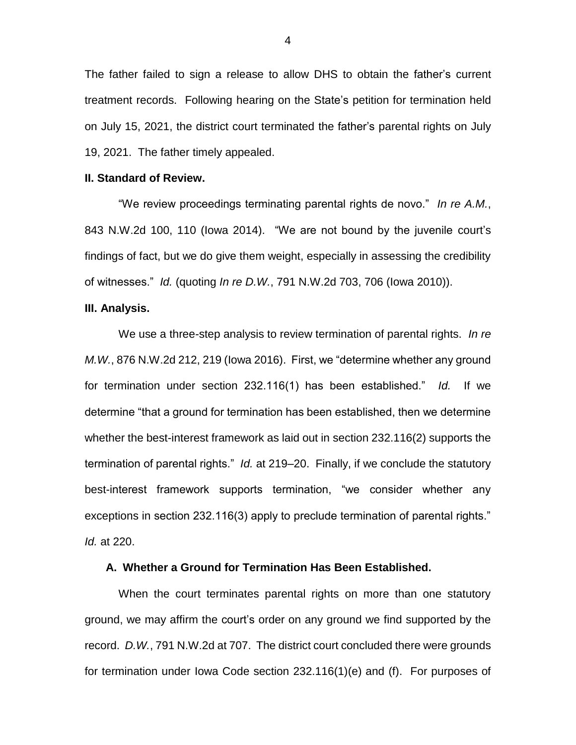The father failed to sign a release to allow DHS to obtain the father's current treatment records. Following hearing on the State's petition for termination held on July 15, 2021, the district court terminated the father's parental rights on July 19, 2021. The father timely appealed.

## **II. Standard of Review.**

"We review proceedings terminating parental rights de novo." *In re A.M.*, 843 N.W.2d 100, 110 (Iowa 2014). "We are not bound by the juvenile court's findings of fact, but we do give them weight, especially in assessing the credibility of witnesses." *Id.* (quoting *In re D.W.*, 791 N.W.2d 703, 706 (Iowa 2010)).

#### **III. Analysis.**

We use a three-step analysis to review termination of parental rights. *In re M.W.*, 876 N.W.2d 212, 219 (Iowa 2016). First, we "determine whether any ground for termination under section 232.116(1) has been established." *Id.* If we determine "that a ground for termination has been established, then we determine whether the best-interest framework as laid out in section 232.116(2) supports the termination of parental rights." *Id.* at 219–20. Finally, if we conclude the statutory best-interest framework supports termination, "we consider whether any exceptions in section 232.116(3) apply to preclude termination of parental rights." *Id.* at 220.

#### **A. Whether a Ground for Termination Has Been Established.**

When the court terminates parental rights on more than one statutory ground, we may affirm the court's order on any ground we find supported by the record. *D.W.*, 791 N.W.2d at 707. The district court concluded there were grounds for termination under Iowa Code section 232.116(1)(e) and (f). For purposes of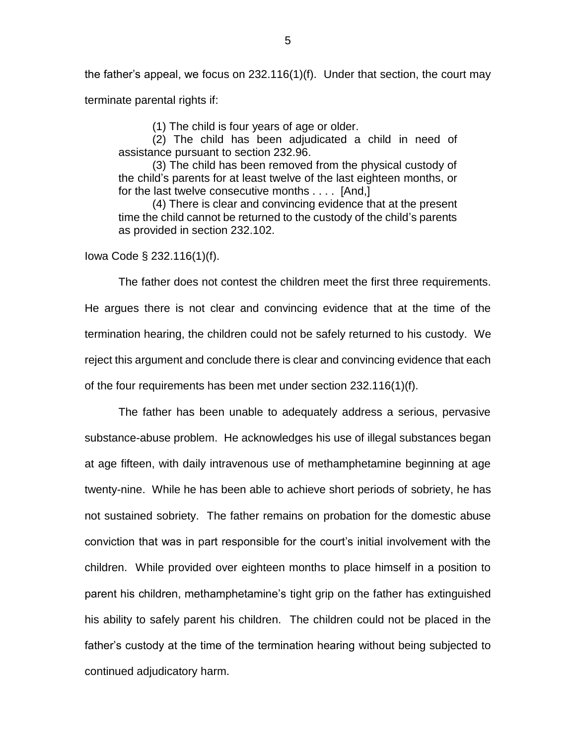the father's appeal, we focus on 232.116(1)(f). Under that section, the court may terminate parental rights if:

(1) The child is four years of age or older.

(2) The child has been adjudicated a child in need of assistance pursuant to section 232.96.

(3) The child has been removed from the physical custody of the child's parents for at least twelve of the last eighteen months, or for the last twelve consecutive months . . . . [And,]

(4) There is clear and convincing evidence that at the present time the child cannot be returned to the custody of the child's parents as provided in section 232.102.

Iowa Code § 232.116(1)(f).

The father does not contest the children meet the first three requirements. He argues there is not clear and convincing evidence that at the time of the termination hearing, the children could not be safely returned to his custody. We reject this argument and conclude there is clear and convincing evidence that each of the four requirements has been met under section 232.116(1)(f).

The father has been unable to adequately address a serious, pervasive substance-abuse problem. He acknowledges his use of illegal substances began at age fifteen, with daily intravenous use of methamphetamine beginning at age twenty-nine. While he has been able to achieve short periods of sobriety, he has not sustained sobriety. The father remains on probation for the domestic abuse conviction that was in part responsible for the court's initial involvement with the children. While provided over eighteen months to place himself in a position to parent his children, methamphetamine's tight grip on the father has extinguished his ability to safely parent his children. The children could not be placed in the father's custody at the time of the termination hearing without being subjected to continued adjudicatory harm.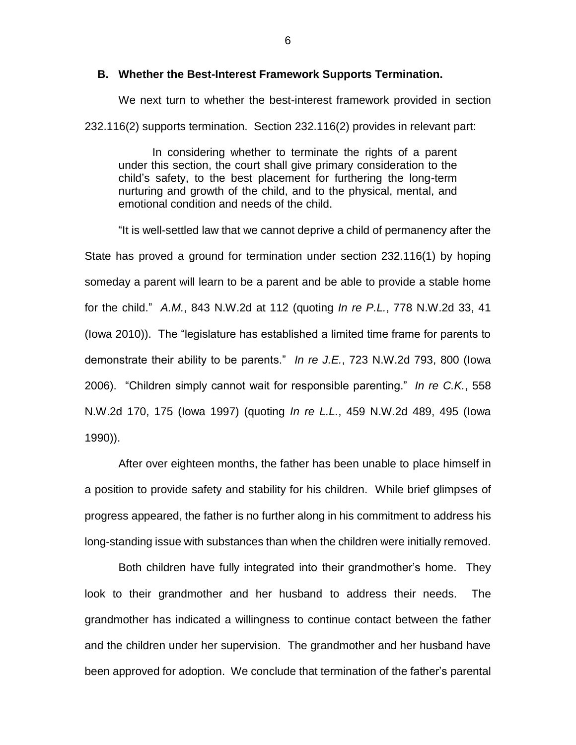#### **B. Whether the Best-Interest Framework Supports Termination.**

We next turn to whether the best-interest framework provided in section 232.116(2) supports termination. Section 232.116(2) provides in relevant part:

In considering whether to terminate the rights of a parent under this section, the court shall give primary consideration to the child's safety, to the best placement for furthering the long-term nurturing and growth of the child, and to the physical, mental, and emotional condition and needs of the child.

"It is well-settled law that we cannot deprive a child of permanency after the State has proved a ground for termination under section 232.116(1) by hoping someday a parent will learn to be a parent and be able to provide a stable home for the child." *A.M.*, 843 N.W.2d at 112 (quoting *In re P.L.*, 778 N.W.2d 33, 41 (Iowa 2010)). The "legislature has established a limited time frame for parents to demonstrate their ability to be parents." *In re J.E.*, 723 N.W.2d 793, 800 (Iowa 2006). "Children simply cannot wait for responsible parenting." *In re C.K.*, 558 N.W.2d 170, 175 (Iowa 1997) (quoting *In re L.L.*, 459 N.W.2d 489, 495 (Iowa 1990)).

After over eighteen months, the father has been unable to place himself in a position to provide safety and stability for his children. While brief glimpses of progress appeared, the father is no further along in his commitment to address his long-standing issue with substances than when the children were initially removed.

Both children have fully integrated into their grandmother's home. They look to their grandmother and her husband to address their needs. The grandmother has indicated a willingness to continue contact between the father and the children under her supervision. The grandmother and her husband have been approved for adoption. We conclude that termination of the father's parental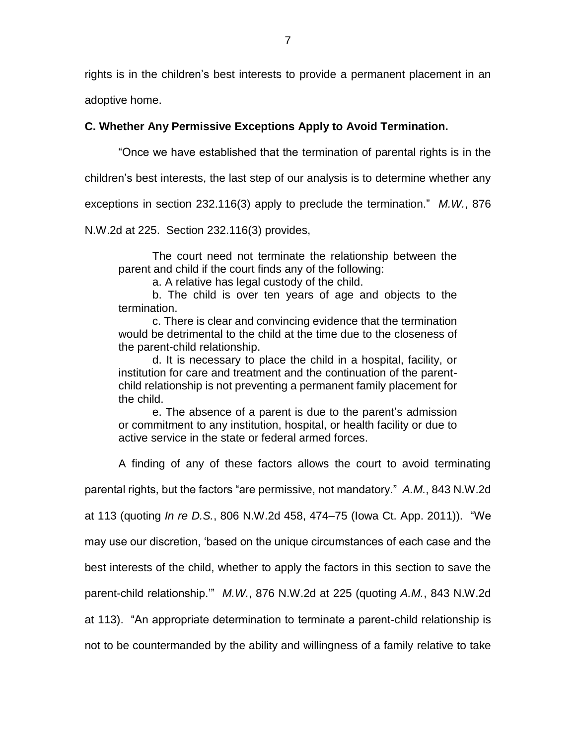rights is in the children's best interests to provide a permanent placement in an

adoptive home.

# **C. Whether Any Permissive Exceptions Apply to Avoid Termination.**

"Once we have established that the termination of parental rights is in the

children's best interests, the last step of our analysis is to determine whether any

exceptions in section 232.116(3) apply to preclude the termination." *M.W.*, 876

N.W.2d at 225. Section 232.116(3) provides,

The court need not terminate the relationship between the parent and child if the court finds any of the following:

a. A relative has legal custody of the child.

b. The child is over ten years of age and objects to the termination.

c. There is clear and convincing evidence that the termination would be detrimental to the child at the time due to the closeness of the parent-child relationship.

d. It is necessary to place the child in a hospital, facility, or institution for care and treatment and the continuation of the parentchild relationship is not preventing a permanent family placement for the child.

e. The absence of a parent is due to the parent's admission or commitment to any institution, hospital, or health facility or due to active service in the state or federal armed forces.

A finding of any of these factors allows the court to avoid terminating

parental rights, but the factors "are permissive, not mandatory." *A.M.*, 843 N.W.2d

at 113 (quoting *In re D.S.*, 806 N.W.2d 458, 474–75 (Iowa Ct. App. 2011)). "We

may use our discretion, 'based on the unique circumstances of each case and the

best interests of the child, whether to apply the factors in this section to save the

parent-child relationship.'" *M.W.*, 876 N.W.2d at 225 (quoting *A.M.*, 843 N.W.2d

at 113). "An appropriate determination to terminate a parent-child relationship is

not to be countermanded by the ability and willingness of a family relative to take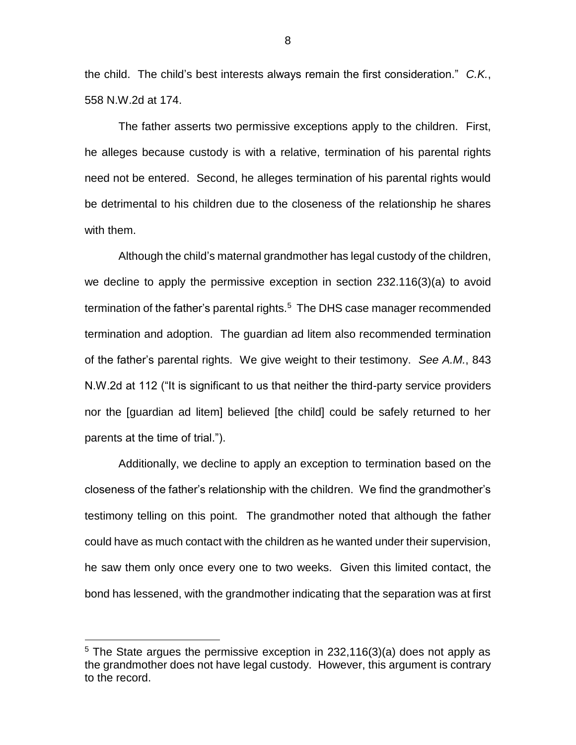the child. The child's best interests always remain the first consideration." *C.K.*, 558 N.W.2d at 174.

The father asserts two permissive exceptions apply to the children. First, he alleges because custody is with a relative, termination of his parental rights need not be entered. Second, he alleges termination of his parental rights would be detrimental to his children due to the closeness of the relationship he shares with them.

Although the child's maternal grandmother has legal custody of the children, we decline to apply the permissive exception in section 232.116(3)(a) to avoid termination of the father's parental rights. $5$  The DHS case manager recommended termination and adoption. The guardian ad litem also recommended termination of the father's parental rights. We give weight to their testimony. *See A.M.*, 843 N.W.2d at 112 ("It is significant to us that neither the third-party service providers nor the [guardian ad litem] believed [the child] could be safely returned to her parents at the time of trial.").

Additionally, we decline to apply an exception to termination based on the closeness of the father's relationship with the children. We find the grandmother's testimony telling on this point. The grandmother noted that although the father could have as much contact with the children as he wanted under their supervision, he saw them only once every one to two weeks. Given this limited contact, the bond has lessened, with the grandmother indicating that the separation was at first

 $\overline{a}$ 

 $5$  The State argues the permissive exception in 232,116(3)(a) does not apply as the grandmother does not have legal custody. However, this argument is contrary to the record.